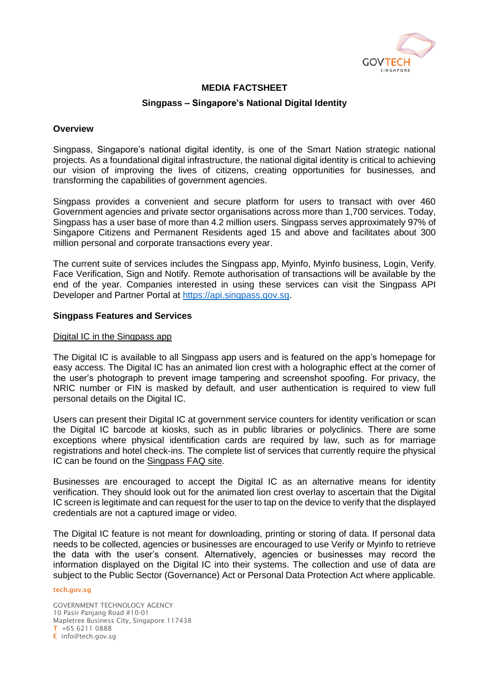

## **MEDIA FACTSHEET**

### **Singpass – Singapore's National Digital Identity**

### **Overview**

Singpass, Singapore's national digital identity, is one of the Smart Nation strategic national projects. As a foundational digital infrastructure, the national digital identity is critical to achieving our vision of improving the lives of citizens, creating opportunities for businesses, and transforming the capabilities of government agencies.

Singpass provides a convenient and secure platform for users to transact with over 460 Government agencies and private sector organisations across more than 1,700 services. Today, Singpass has a user base of more than 4.2 million users. Singpass serves approximately 97% of Singapore Citizens and Permanent Residents aged 15 and above and facilitates about 300 million personal and corporate transactions every year.

The current suite of services includes the Singpass app, Myinfo, Myinfo business, Login, Verify, Face Verification, Sign and Notify. Remote authorisation of transactions will be available by the end of the year. Companies interested in using these services can visit the Singpass API Developer and Partner Portal at [https://api.singpass.gov.sg.](https://api.singpass.gov.sg/)

### **Singpass Features and Services**

### Digital IC in the Singpass app

The Digital IC is available to all Singpass app users and is featured on the app's homepage for easy access. The Digital IC has an animated lion crest with a holographic effect at the corner of the user's photograph to prevent image tampering and screenshot spoofing. For privacy, the NRIC number or FIN is masked by default, and user authentication is required to view full personal details on the Digital IC.

Users can present their Digital IC at government service counters for identity verification or scan the Digital IC barcode at kiosks, such as in public libraries or polyclinics. There are some exceptions where physical identification cards are required by law, such as for marriage registrations and hotel check-ins. The complete list of services that currently require the physical IC can be found on the [Singpass FAQ site.](https://go.gov.sg/digitalic-exceptions)

Businesses are encouraged to accept the Digital IC as an alternative means for identity verification. They should look out for the animated lion crest overlay to ascertain that the Digital IC screen is legitimate and can request for the user to tap on the device to verify that the displayed credentials are not a captured image or video.

The Digital IC feature is not meant for downloading, printing or storing of data. If personal data needs to be collected, agencies or businesses are encouraged to use Verify or Myinfo to retrieve the data with the user's consent. Alternatively, agencies or businesses may record the information displayed on the Digital IC into their systems. The collection and use of data are subject to the Public Sector (Governance) Act or Personal Data Protection Act where applicable.

#### tech.gov.sg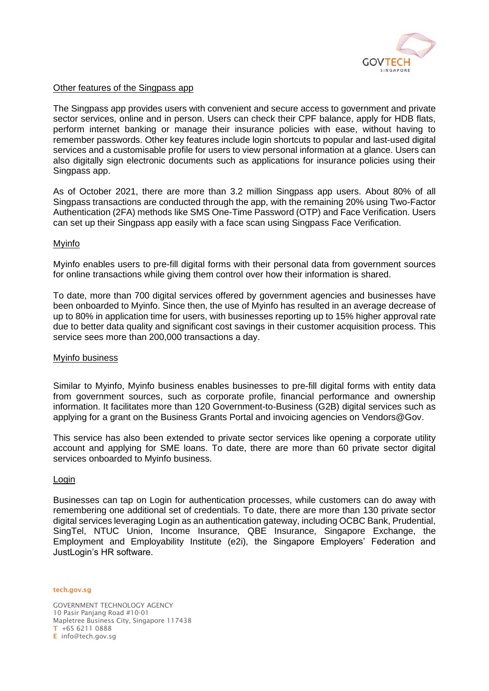

## Other features of the Singpass app

The Singpass app provides users with convenient and secure access to government and private sector services, online and in person. Users can check their CPF balance, apply for HDB flats, perform internet banking or manage their insurance policies with ease, without having to remember passwords. Other key features include login shortcuts to popular and last-used digital services and a customisable profile for users to view personal information at a glance. Users can also digitally sign electronic documents such as applications for insurance policies using their Singpass app.

As of October 2021, there are more than 3.2 million Singpass app users. About 80% of all Singpass transactions are conducted through the app, with the remaining 20% using Two-Factor Authentication (2FA) methods like SMS One-Time Password (OTP) and Face Verification. Users can set up their Singpass app easily with a face scan using Singpass Face Verification.

## Myinfo

Myinfo enables users to pre-fill digital forms with their personal data from government sources for online transactions while giving them control over how their information is shared.

To date, more than 700 digital services offered by government agencies and businesses have been onboarded to Myinfo. Since then, the use of Myinfo has resulted in an average decrease of up to 80% in application time for users, with businesses reporting up to 15% higher approval rate due to better data quality and significant cost savings in their customer acquisition process. This service sees more than 200,000 transactions a day.

### Myinfo business

Similar to Myinfo, Myinfo business enables businesses to pre-fill digital forms with entity data from government sources, such as corporate profile, financial performance and ownership information. It facilitates more than 120 Government-to-Business (G2B) digital services such as applying for a grant on the Business Grants Portal and invoicing agencies on Vendors@Gov.

This service has also been extended to private sector services like opening a corporate utility account and applying for SME loans. To date, there are more than 60 private sector digital services onboarded to Myinfo business.

### Login

Businesses can tap on Login for authentication processes, while customers can do away with remembering one additional set of credentials. To date, there are more than 130 private sector digital services leveraging Login as an authentication gateway, including OCBC Bank, Prudential, SingTel, NTUC Union, Income Insurance, QBE Insurance, Singapore Exchange, the Employment and Employability Institute (e2i), the Singapore Employers' Federation and JustLogin's HR software.

tech.gov.sg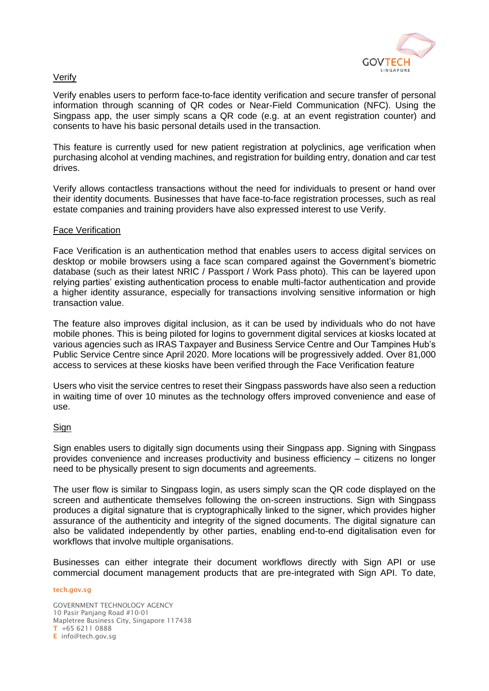

# Verify

Verify enables users to perform face-to-face identity verification and secure transfer of personal information through scanning of QR codes or Near-Field Communication (NFC). Using the Singpass app, the user simply scans a QR code (e.g. at an event registration counter) and consents to have his basic personal details used in the transaction.

This feature is currently used for new patient registration at polyclinics, age verification when purchasing alcohol at vending machines, and registration for building entry, donation and car test drives.

Verify allows contactless transactions without the need for individuals to present or hand over their identity documents. Businesses that have face-to-face registration processes, such as real estate companies and training providers have also expressed interest to use Verify.

### Face Verification

Face Verification is an authentication method that enables users to access digital services on desktop or mobile browsers using a face scan compared against the Government's biometric database (such as their latest NRIC / Passport / Work Pass photo). This can be layered upon relying parties' existing authentication process to enable multi-factor authentication and provide a higher identity assurance, especially for transactions involving sensitive information or high transaction value.

The feature also improves digital inclusion, as it can be used by individuals who do not have mobile phones. This is being piloted for logins to government digital services at kiosks located at various agencies such as IRAS Taxpayer and Business Service Centre and Our Tampines Hub's Public Service Centre since April 2020. More locations will be progressively added. Over 81,000 access to services at these kiosks have been verified through the Face Verification feature

Users who visit the service centres to reset their Singpass passwords have also seen a reduction in waiting time of over 10 minutes as the technology offers improved convenience and ease of use.

# **Sign**

Sign enables users to digitally sign documents using their Singpass app. Signing with Singpass provides convenience and increases productivity and business efficiency – citizens no longer need to be physically present to sign documents and agreements.

The user flow is similar to Singpass login, as users simply scan the QR code displayed on the screen and authenticate themselves following the on-screen instructions. Sign with Singpass produces a digital signature that is cryptographically linked to the signer, which provides higher assurance of the authenticity and integrity of the signed documents. The digital signature can also be validated independently by other parties, enabling end-to-end digitalisation even for workflows that involve multiple organisations.

Businesses can either integrate their document workflows directly with Sign API or use commercial document management products that are pre-integrated with Sign API. To date,

#### tech.gov.sg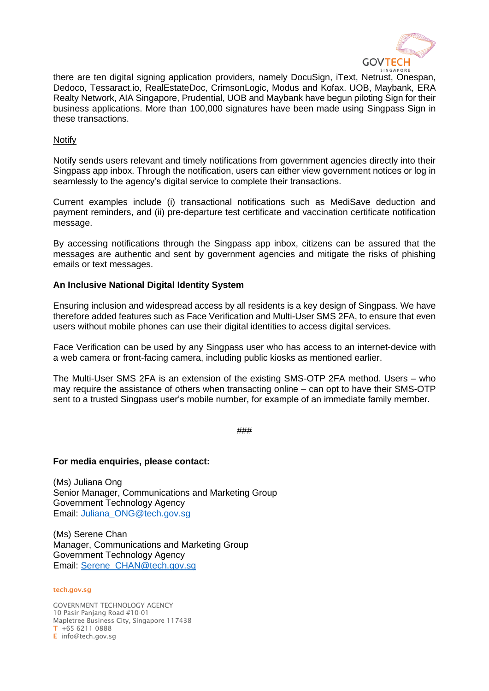

there are ten digital signing application providers, namely DocuSign, iText, Netrust, Onespan, Dedoco, Tessaract.io, RealEstateDoc, CrimsonLogic, Modus and Kofax. UOB, Maybank, ERA Realty Network, AIA Singapore, Prudential, UOB and Maybank have begun piloting Sign for their business applications. More than 100,000 signatures have been made using Singpass Sign in these transactions.

# Notify

Notify sends users relevant and timely notifications from government agencies directly into their Singpass app inbox. Through the notification, users can either view government notices or log in seamlessly to the agency's digital service to complete their transactions.

Current examples include (i) transactional notifications such as MediSave deduction and payment reminders, and (ii) pre-departure test certificate and vaccination certificate notification message.

By accessing notifications through the Singpass app inbox, citizens can be assured that the messages are authentic and sent by government agencies and mitigate the risks of phishing emails or text messages.

## **An Inclusive National Digital Identity System**

Ensuring inclusion and widespread access by all residents is a key design of Singpass. We have therefore added features such as Face Verification and Multi-User SMS 2FA, to ensure that even users without mobile phones can use their digital identities to access digital services.

Face Verification can be used by any Singpass user who has access to an internet-device with a web camera or front-facing camera, including public kiosks as mentioned earlier.

The Multi-User SMS 2FA is an extension of the existing SMS-OTP 2FA method. Users – who may require the assistance of others when transacting online – can opt to have their SMS-OTP sent to a trusted Singpass user's mobile number, for example of an immediate family member.

###

### **For media enquiries, please contact:**

(Ms) Juliana Ong Senior Manager, Communications and Marketing Group Government Technology Agency Email: [Juliana\\_ONG@tech.gov.sg](mailto:Juliana_ONG@tech.gov.sg)

(Ms) Serene Chan Manager, Communications and Marketing Group Government Technology Agency Email: [Serene\\_CHAN@tech.gov.sg](mailto:Serene_CHAN@tech.gov.sg)

#### tech.gov.sg